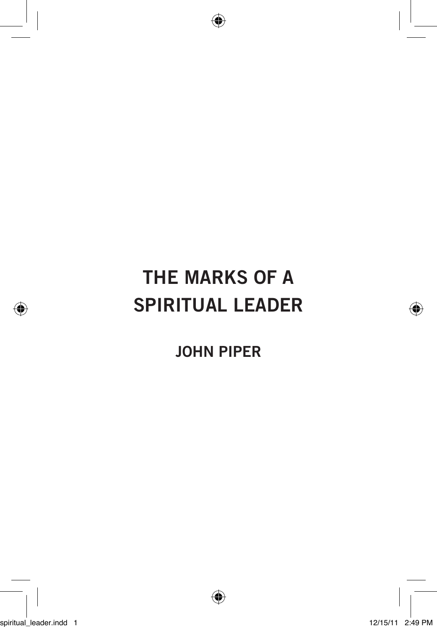G

JOHN PIPER

⊕

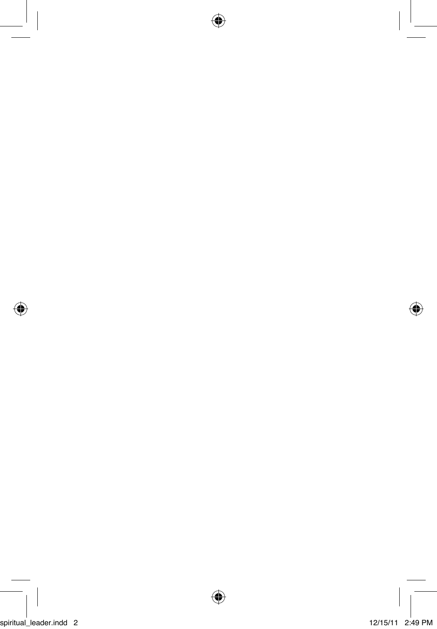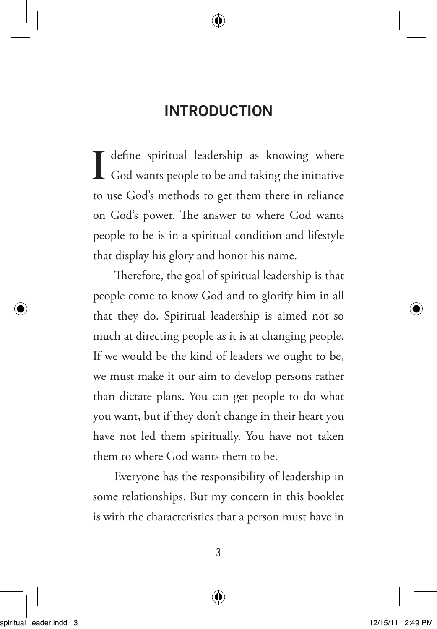### INTRODUCTION

I define spiritual leadership as knowing where<br>
God wants people to be and taking the initiative God wants people to be and taking the initiative to use God's methods to get them there in reliance on God's power. The answer to where God wants people to be is in a spiritual condition and lifestyle that display his glory and honor his name.

Therefore, the goal of spiritual leadership is that people come to know God and to glorify him in all that they do. Spiritual leadership is aimed not so much at directing people as it is at changing people. If we would be the kind of leaders we ought to be, we must make it our aim to develop persons rather than dictate plans. You can get people to do what you want, but if they don't change in their heart you have not led them spiritually. You have not taken them to where God wants them to be.

Everyone has the responsibility of leadership in some relationships. But my concern in this booklet is with the characteristics that a person must have in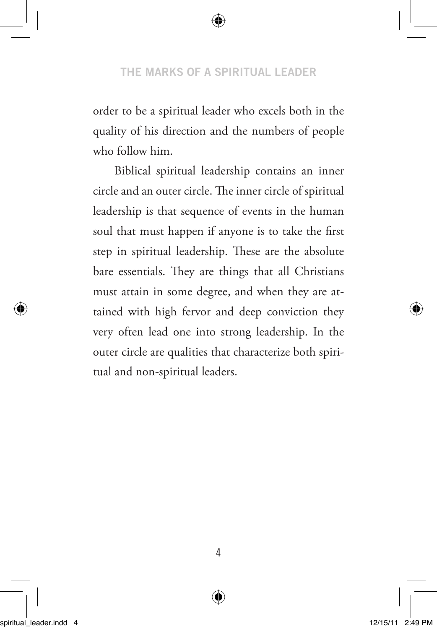order to be a spiritual leader who excels both in the quality of his direction and the numbers of people who follow him.

Biblical spiritual leadership contains an inner circle and an outer circle. The inner circle of spiritual leadership is that sequence of events in the human soul that must happen if anyone is to take the first step in spiritual leadership. These are the absolute bare essentials. They are things that all Christians must attain in some degree, and when they are attained with high fervor and deep conviction they very often lead one into strong leadership. In the outer circle are qualities that characterize both spiritual and non-spiritual leaders.

4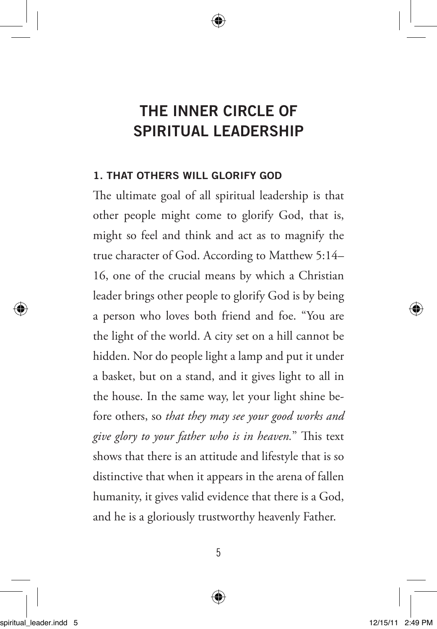#### 1. THAT OTHERS WILL GLORIFY GOD

The ultimate goal of all spiritual leadership is that other people might come to glorify God, that is, might so feel and think and act as to magnify the true character of God. According to Matthew 5:14– 16, one of the crucial means by which a Christian leader brings other people to glorify God is by being a person who loves both friend and foe. "You are the light of the world. A city set on a hill cannot be hidden. Nor do people light a lamp and put it under a basket, but on a stand, and it gives light to all in the house. In the same way, let your light shine before others, so *that they may see your good works and give glory to your father who is in heaven.*" This text shows that there is an attitude and lifestyle that is so distinctive that when it appears in the arena of fallen humanity, it gives valid evidence that there is a God, and he is a gloriously trustworthy heavenly Father.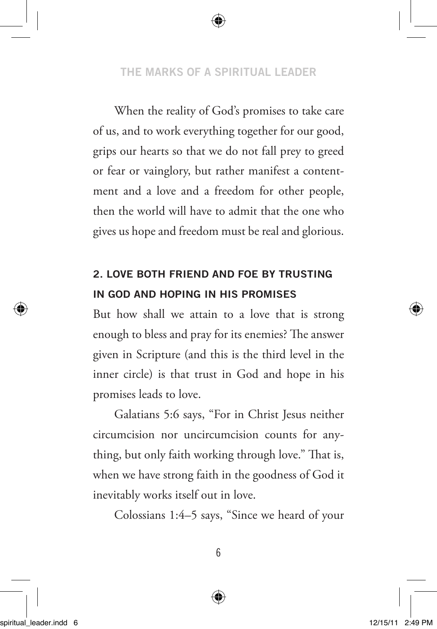When the reality of God's promises to take care of us, and to work everything together for our good, grips our hearts so that we do not fall prey to greed or fear or vainglory, but rather manifest a contentment and a love and a freedom for other people, then the world will have to admit that the one who gives us hope and freedom must be real and glorious.

### 2. LOVE BOTH FRIEND AND FOE BY TRUSTING IN GOD AND HOPING IN HIS PROMISES

But how shall we attain to a love that is strong enough to bless and pray for its enemies? The answer given in Scripture (and this is the third level in the inner circle) is that trust in God and hope in his promises leads to love.

Galatians 5:6 says, "For in Christ Jesus neither circumcision nor uncircumcision counts for anything, but only faith working through love." That is, when we have strong faith in the goodness of God it inevitably works itself out in love.

Colossians 1:4–5 says, "Since we heard of your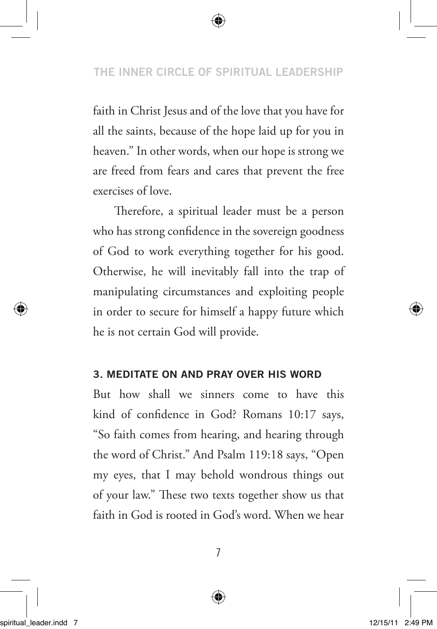faith in Christ Jesus and of the love that you have for all the saints, because of the hope laid up for you in heaven." In other words, when our hope is strong we are freed from fears and cares that prevent the free exercises of love.

Therefore, a spiritual leader must be a person who has strong confidence in the sovereign goodness of God to work everything together for his good. Otherwise, he will inevitably fall into the trap of manipulating circumstances and exploiting people in order to secure for himself a happy future which he is not certain God will provide.

#### 3. MEDITATE ON AND PRAY OVER HIS WORD

But how shall we sinners come to have this kind of confidence in God? Romans 10:17 says, "So faith comes from hearing, and hearing through the word of Christ." And Psalm 119:18 says, "Open my eyes, that I may behold wondrous things out of your law." These two texts together show us that faith in God is rooted in God's word. When we hear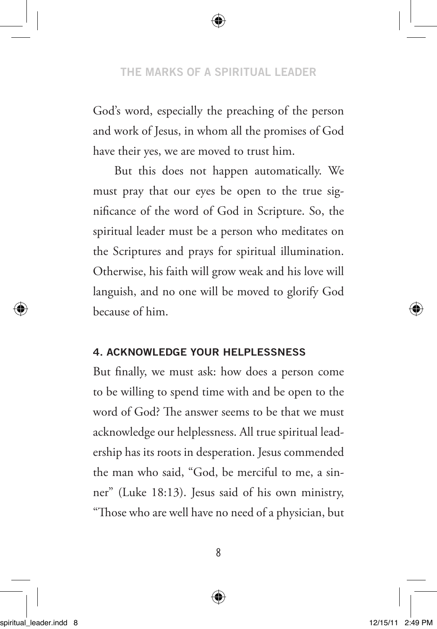God's word, especially the preaching of the person and work of Jesus, in whom all the promises of God have their yes, we are moved to trust him.

But this does not happen automatically. We must pray that our eyes be open to the true significance of the word of God in Scripture. So, the spiritual leader must be a person who meditates on the Scriptures and prays for spiritual illumination. Otherwise, his faith will grow weak and his love will languish, and no one will be moved to glorify God because of him.

#### 4. ACKNOWLEDGE YOUR HELPLESSNESS

But finally, we must ask: how does a person come to be willing to spend time with and be open to the word of God? The answer seems to be that we must acknowledge our helplessness. All true spiritual leadership has its roots in desperation. Jesus commended the man who said, "God, be merciful to me, a sinner" (Luke 18:13). Jesus said of his own ministry, "Those who are well have no need of a physician, but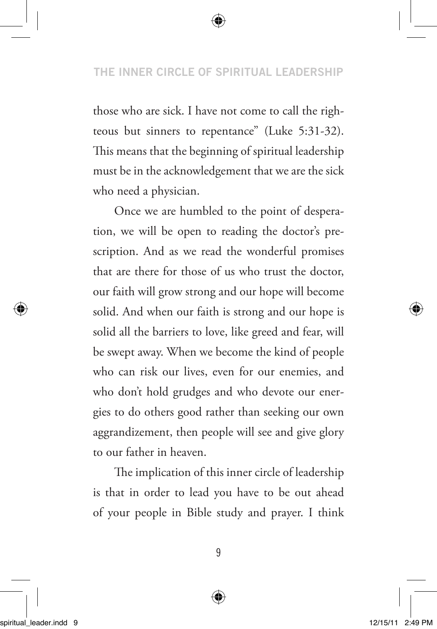those who are sick. I have not come to call the righteous but sinners to repentance" (Luke 5:31-32). This means that the beginning of spiritual leadership must be in the acknowledgement that we are the sick who need a physician.

Once we are humbled to the point of desperation, we will be open to reading the doctor's prescription. And as we read the wonderful promises that are there for those of us who trust the doctor, our faith will grow strong and our hope will become solid. And when our faith is strong and our hope is solid all the barriers to love, like greed and fear, will be swept away. When we become the kind of people who can risk our lives, even for our enemies, and who don't hold grudges and who devote our energies to do others good rather than seeking our own aggrandizement, then people will see and give glory to our father in heaven.

The implication of this inner circle of leadership is that in order to lead you have to be out ahead of your people in Bible study and prayer. I think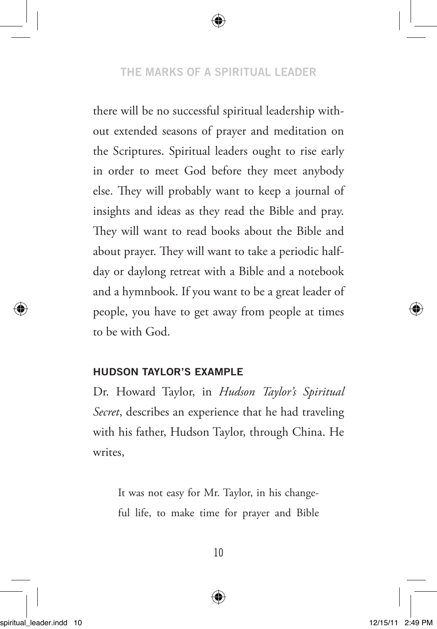there will be no successful spiritual leadership without extended seasons of prayer and meditation on the Scriptures. Spiritual leaders ought to rise early in order to meet God before they meet anybody else. They will probably want to keep a journal of insights and ideas as they read the Bible and pray. They will want to read books about the Bible and about prayer. They will want to take a periodic halfday or daylong retreat with a Bible and a notebook and a hymnbook. If you want to be a great leader of people, you have to get away from people at times to be with God.

#### HUDSON TAYLOR'S EXAMPLE

Dr. Howard Taylor, in *Hudson Taylor's Spiritual Secret*, describes an experience that he had traveling with his father, Hudson Taylor, through China. He writes,

It was not easy for Mr. Taylor, in his changeful life, to make time for prayer and Bible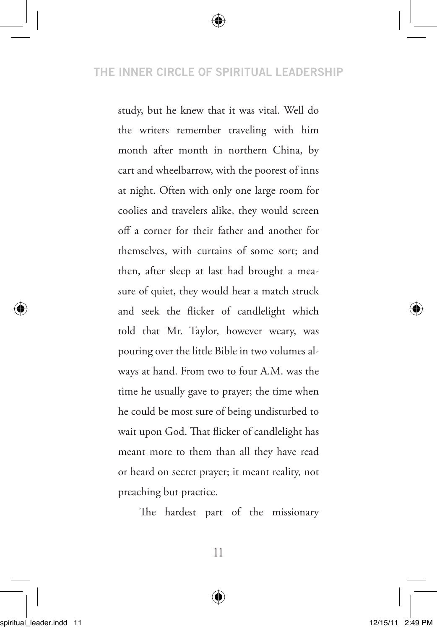study, but he knew that it was vital. Well do the writers remember traveling with him month after month in northern China, by cart and wheelbarrow, with the poorest of inns at night. Often with only one large room for coolies and travelers alike, they would screen off a corner for their father and another for themselves, with curtains of some sort; and then, after sleep at last had brought a measure of quiet, they would hear a match struck and seek the flicker of candlelight which told that Mr. Taylor, however weary, was pouring over the little Bible in two volumes always at hand. From two to four A.M. was the time he usually gave to prayer; the time when he could be most sure of being undisturbed to wait upon God. That flicker of candlelight has meant more to them than all they have read or heard on secret prayer; it meant reality, not preaching but practice.

The hardest part of the missionary

11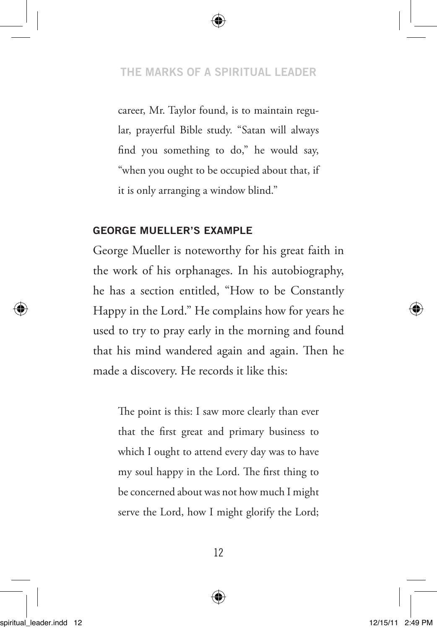career, Mr. Taylor found, is to maintain regular, prayerful Bible study. "Satan will always find you something to do," he would say, "when you ought to be occupied about that, if it is only arranging a window blind."

#### GEORGE MUELLER'S EXAMPLE

George Mueller is noteworthy for his great faith in the work of his orphanages. In his autobiography, he has a section entitled, "How to be Constantly Happy in the Lord." He complains how for years he used to try to pray early in the morning and found that his mind wandered again and again. Then he made a discovery. He records it like this:

The point is this: I saw more clearly than ever that the first great and primary business to which I ought to attend every day was to have my soul happy in the Lord. The first thing to be concerned about was not how much I might serve the Lord, how I might glorify the Lord;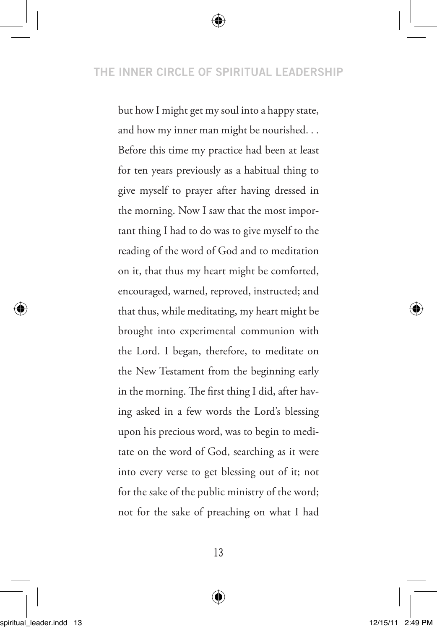but how I might get my soul into a happy state, and how my inner man might be nourished. . . Before this time my practice had been at least for ten years previously as a habitual thing to give myself to prayer after having dressed in the morning. Now I saw that the most important thing I had to do was to give myself to the reading of the word of God and to meditation on it, that thus my heart might be comforted, encouraged, warned, reproved, instructed; and that thus, while meditating, my heart might be brought into experimental communion with the Lord. I began, therefore, to meditate on the New Testament from the beginning early in the morning. The first thing I did, after having asked in a few words the Lord's blessing upon his precious word, was to begin to meditate on the word of God, searching as it were into every verse to get blessing out of it; not for the sake of the public ministry of the word; not for the sake of preaching on what I had

13

spiritual\_leader.indd 13 12/15/11 2:49 PM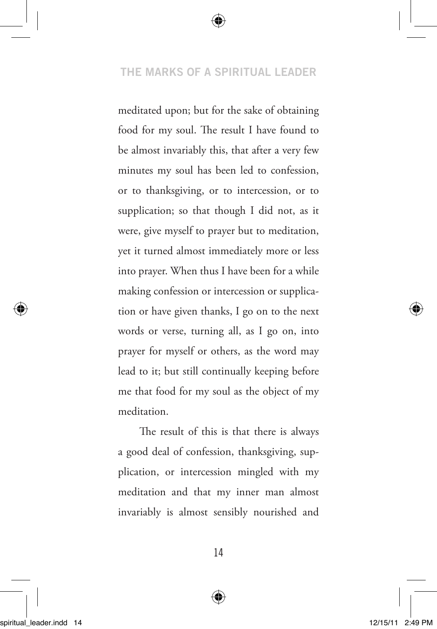meditated upon; but for the sake of obtaining food for my soul. The result I have found to be almost invariably this, that after a very few minutes my soul has been led to confession, or to thanksgiving, or to intercession, or to supplication; so that though I did not, as it were, give myself to prayer but to meditation, yet it turned almost immediately more or less into prayer. When thus I have been for a while making confession or intercession or supplication or have given thanks, I go on to the next words or verse, turning all, as I go on, into prayer for myself or others, as the word may lead to it; but still continually keeping before me that food for my soul as the object of my meditation.

The result of this is that there is always a good deal of confession, thanksgiving, supplication, or intercession mingled with my meditation and that my inner man almost invariably is almost sensibly nourished and

14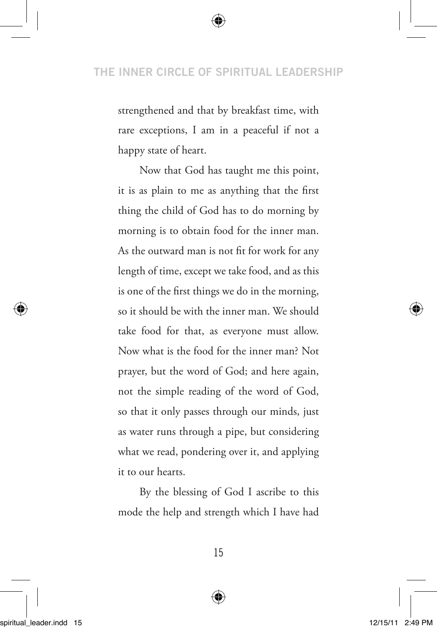strengthened and that by breakfast time, with rare exceptions, I am in a peaceful if not a happy state of heart.

Now that God has taught me this point, it is as plain to me as anything that the first thing the child of God has to do morning by morning is to obtain food for the inner man. As the outward man is not fit for work for any length of time, except we take food, and as this is one of the first things we do in the morning, so it should be with the inner man. We should take food for that, as everyone must allow. Now what is the food for the inner man? Not prayer, but the word of God; and here again, not the simple reading of the word of God, so that it only passes through our minds, just as water runs through a pipe, but considering what we read, pondering over it, and applying it to our hearts.

By the blessing of God I ascribe to this mode the help and strength which I have had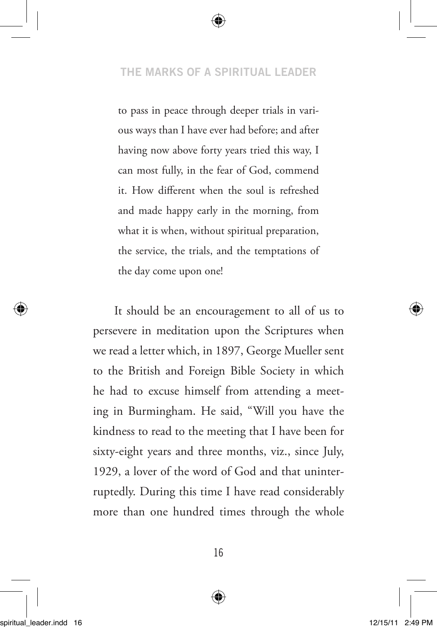to pass in peace through deeper trials in various ways than I have ever had before; and after having now above forty years tried this way, I can most fully, in the fear of God, commend it. How different when the soul is refreshed and made happy early in the morning, from what it is when, without spiritual preparation, the service, the trials, and the temptations of the day come upon one!

It should be an encouragement to all of us to persevere in meditation upon the Scriptures when we read a letter which, in 1897, George Mueller sent to the British and Foreign Bible Society in which he had to excuse himself from attending a meeting in Burmingham. He said, "Will you have the kindness to read to the meeting that I have been for sixty-eight years and three months, viz., since July, 1929, a lover of the word of God and that uninterruptedly. During this time I have read considerably more than one hundred times through the whole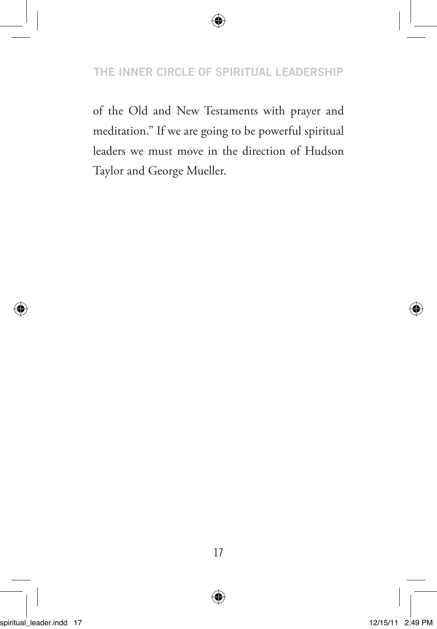

of the Old and New Testaments with prayer and meditation." If we are going to be powerful spiritual leaders we must move in the direction of Hudson Taylor and George Mueller.

17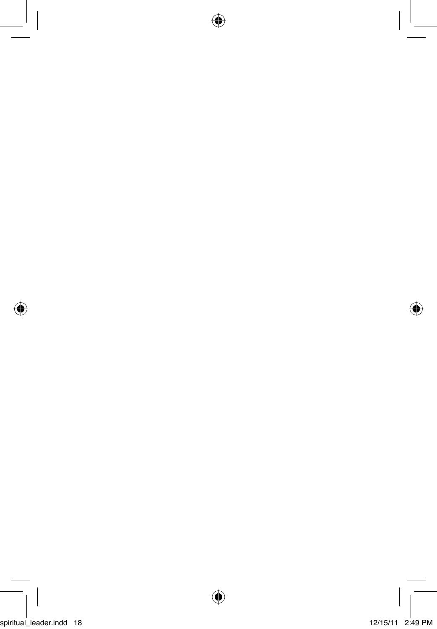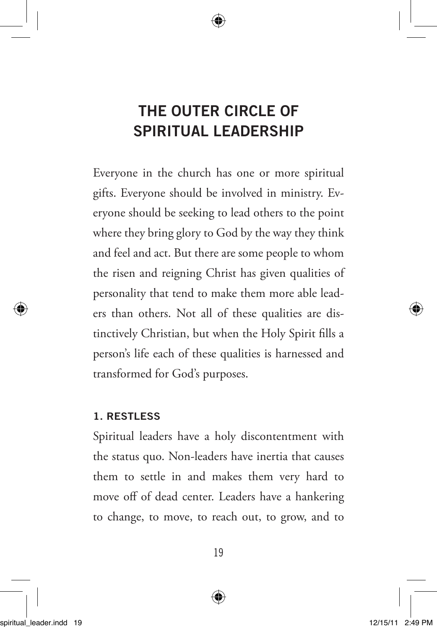Everyone in the church has one or more spiritual gifts. Everyone should be involved in ministry. Everyone should be seeking to lead others to the point where they bring glory to God by the way they think and feel and act. But there are some people to whom the risen and reigning Christ has given qualities of personality that tend to make them more able leaders than others. Not all of these qualities are distinctively Christian, but when the Holy Spirit fills a person's life each of these qualities is harnessed and transformed for God's purposes.

#### 1. RESTLESS

Spiritual leaders have a holy discontentment with the status quo. Non-leaders have inertia that causes them to settle in and makes them very hard to move off of dead center. Leaders have a hankering to change, to move, to reach out, to grow, and to

19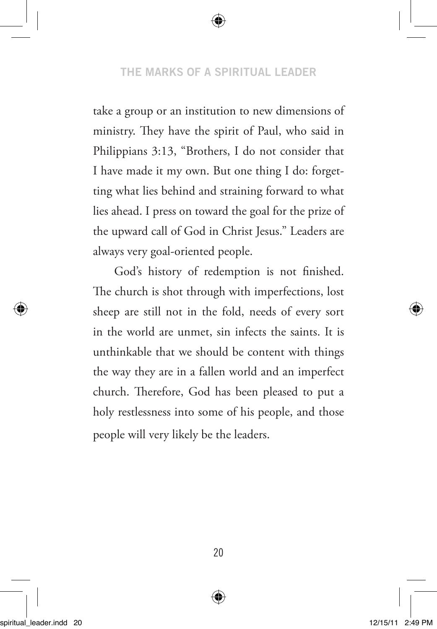take a group or an institution to new dimensions of ministry. They have the spirit of Paul, who said in Philippians 3:13, "Brothers, I do not consider that I have made it my own. But one thing I do: forgetting what lies behind and straining forward to what lies ahead. I press on toward the goal for the prize of the upward call of God in Christ Jesus." Leaders are always very goal-oriented people.

God's history of redemption is not finished. The church is shot through with imperfections, lost sheep are still not in the fold, needs of every sort in the world are unmet, sin infects the saints. It is unthinkable that we should be content with things the way they are in a fallen world and an imperfect church. Therefore, God has been pleased to put a holy restlessness into some of his people, and those people will very likely be the leaders.

spiritual\_leader.indd 20 12/15/11 2:49 PM

20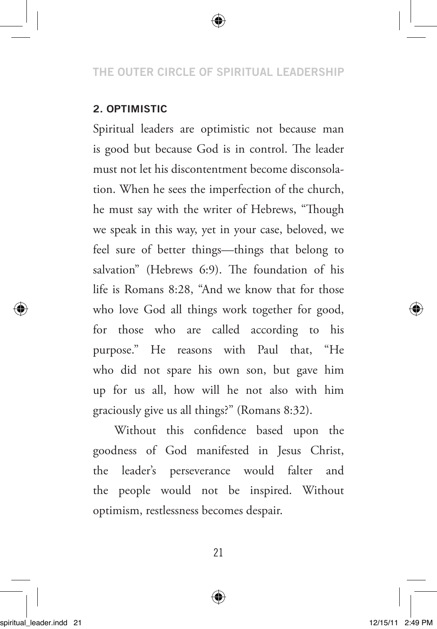#### 2. OPTIMISTIC

Spiritual leaders are optimistic not because man is good but because God is in control. The leader must not let his discontentment become disconsolation. When he sees the imperfection of the church, he must say with the writer of Hebrews, "Though we speak in this way, yet in your case, beloved, we feel sure of better things—things that belong to salvation" (Hebrews 6:9). The foundation of his life is Romans 8:28, "And we know that for those who love God all things work together for good, for those who are called according to his purpose." He reasons with Paul that, "He who did not spare his own son, but gave him up for us all, how will he not also with him graciously give us all things?" (Romans 8:32).

Without this confidence based upon the goodness of God manifested in Jesus Christ, the leader's perseverance would falter and the people would not be inspired. Without optimism, restlessness becomes despair.

21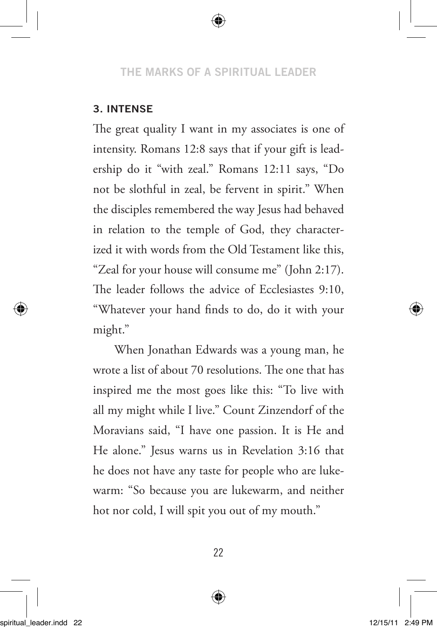#### 3. INTENSE

The great quality I want in my associates is one of intensity. Romans 12:8 says that if your gift is leadership do it "with zeal." Romans 12:11 says, "Do not be slothful in zeal, be fervent in spirit." When the disciples remembered the way Jesus had behaved in relation to the temple of God, they characterized it with words from the Old Testament like this, "Zeal for your house will consume me" (John 2:17). The leader follows the advice of Ecclesiastes 9:10, "Whatever your hand finds to do, do it with your might."

When Jonathan Edwards was a young man, he wrote a list of about 70 resolutions. The one that has inspired me the most goes like this: "To live with all my might while I live." Count Zinzendorf of the Moravians said, "I have one passion. It is He and He alone." Jesus warns us in Revelation 3:16 that he does not have any taste for people who are lukewarm: "So because you are lukewarm, and neither hot nor cold, I will spit you out of my mouth."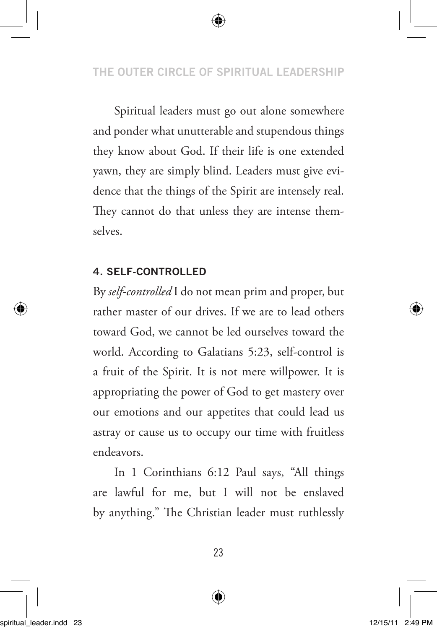Spiritual leaders must go out alone somewhere and ponder what unutterable and stupendous things they know about God. If their life is one extended yawn, they are simply blind. Leaders must give evidence that the things of the Spirit are intensely real. They cannot do that unless they are intense themselves.

#### 4. SELF-CONTROLLED

By *self-controlled* I do not mean prim and proper, but rather master of our drives. If we are to lead others toward God, we cannot be led ourselves toward the world. According to Galatians 5:23, self-control is a fruit of the Spirit. It is not mere willpower. It is appropriating the power of God to get mastery over our emotions and our appetites that could lead us astray or cause us to occupy our time with fruitless endeavors.

In 1 Corinthians 6:12 Paul says, "All things are lawful for me, but I will not be enslaved by anything." The Christian leader must ruthlessly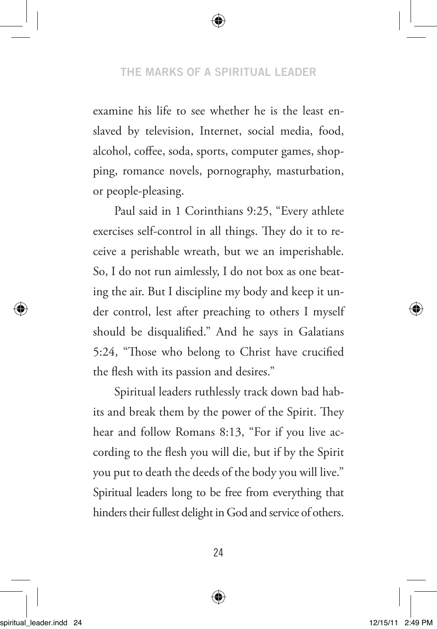examine his life to see whether he is the least enslaved by television, Internet, social media, food, alcohol, coffee, soda, sports, computer games, shopping, romance novels, pornography, masturbation, or people-pleasing.

Paul said in 1 Corinthians 9:25, "Every athlete exercises self-control in all things. They do it to receive a perishable wreath, but we an imperishable. So, I do not run aimlessly, I do not box as one beating the air. But I discipline my body and keep it under control, lest after preaching to others I myself should be disqualified." And he says in Galatians 5:24, "Those who belong to Christ have crucified the flesh with its passion and desires."

Spiritual leaders ruthlessly track down bad habits and break them by the power of the Spirit. They hear and follow Romans 8:13, "For if you live according to the flesh you will die, but if by the Spirit you put to death the deeds of the body you will live." Spiritual leaders long to be free from everything that hinders their fullest delight in God and service of others.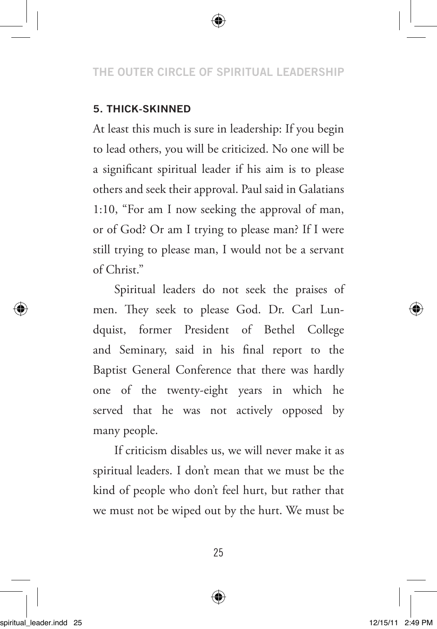#### 5. THICK-SKINNED

At least this much is sure in leadership: If you begin to lead others, you will be criticized. No one will be a significant spiritual leader if his aim is to please others and seek their approval. Paul said in Galatians 1:10, "For am I now seeking the approval of man, or of God? Or am I trying to please man? If I were still trying to please man, I would not be a servant of Christ."

Spiritual leaders do not seek the praises of men. They seek to please God. Dr. Carl Lundquist, former President of Bethel College and Seminary, said in his final report to the Baptist General Conference that there was hardly one of the twenty-eight years in which he served that he was not actively opposed by many people.

If criticism disables us, we will never make it as spiritual leaders. I don't mean that we must be the kind of people who don't feel hurt, but rather that we must not be wiped out by the hurt. We must be

25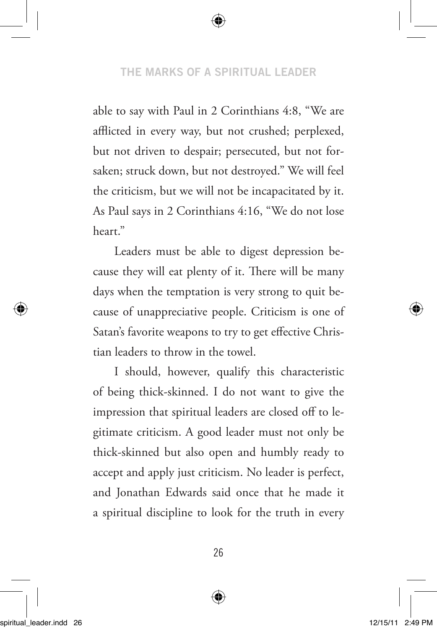able to say with Paul in 2 Corinthians 4:8, "We are afflicted in every way, but not crushed; perplexed, but not driven to despair; persecuted, but not forsaken; struck down, but not destroyed." We will feel the criticism, but we will not be incapacitated by it. As Paul says in 2 Corinthians 4:16, "We do not lose heart."

Leaders must be able to digest depression because they will eat plenty of it. There will be many days when the temptation is very strong to quit because of unappreciative people. Criticism is one of Satan's favorite weapons to try to get effective Christian leaders to throw in the towel.

I should, however, qualify this characteristic of being thick-skinned. I do not want to give the impression that spiritual leaders are closed off to legitimate criticism. A good leader must not only be thick-skinned but also open and humbly ready to accept and apply just criticism. No leader is perfect, and Jonathan Edwards said once that he made it a spiritual discipline to look for the truth in every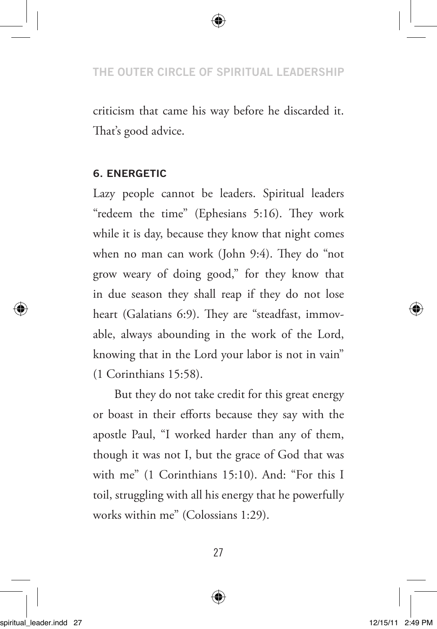criticism that came his way before he discarded it. That's good advice.

#### 6. ENERGETIC

Lazy people cannot be leaders. Spiritual leaders "redeem the time" (Ephesians 5:16). They work while it is day, because they know that night comes when no man can work (John 9:4). They do "not grow weary of doing good," for they know that in due season they shall reap if they do not lose heart (Galatians 6:9). They are "steadfast, immovable, always abounding in the work of the Lord, knowing that in the Lord your labor is not in vain" (1 Corinthians 15:58).

But they do not take credit for this great energy or boast in their efforts because they say with the apostle Paul, "I worked harder than any of them, though it was not I, but the grace of God that was with me" (1 Corinthians 15:10). And: "For this I toil, struggling with all his energy that he powerfully works within me" (Colossians 1:29).

27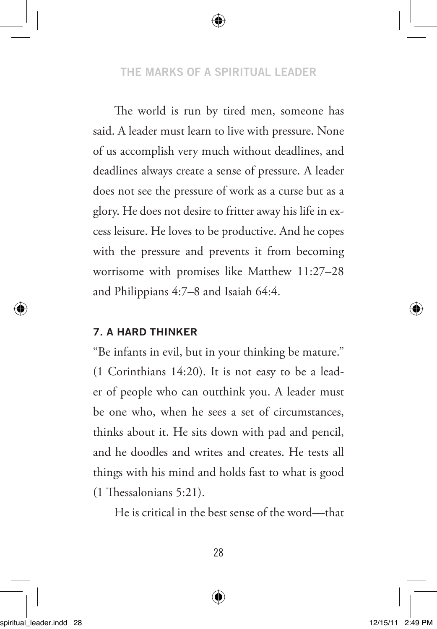The world is run by tired men, someone has said. A leader must learn to live with pressure. None of us accomplish very much without deadlines, and deadlines always create a sense of pressure. A leader does not see the pressure of work as a curse but as a glory. He does not desire to fritter away his life in excess leisure. He loves to be productive. And he copes with the pressure and prevents it from becoming worrisome with promises like Matthew 11:27–28 and Philippians 4:7–8 and Isaiah 64:4.

#### 7. A HARD THINKER

"Be infants in evil, but in your thinking be mature." (1 Corinthians 14:20). It is not easy to be a leader of people who can outthink you. A leader must be one who, when he sees a set of circumstances, thinks about it. He sits down with pad and pencil, and he doodles and writes and creates. He tests all things with his mind and holds fast to what is good (1 Thessalonians 5:21).

He is critical in the best sense of the word—that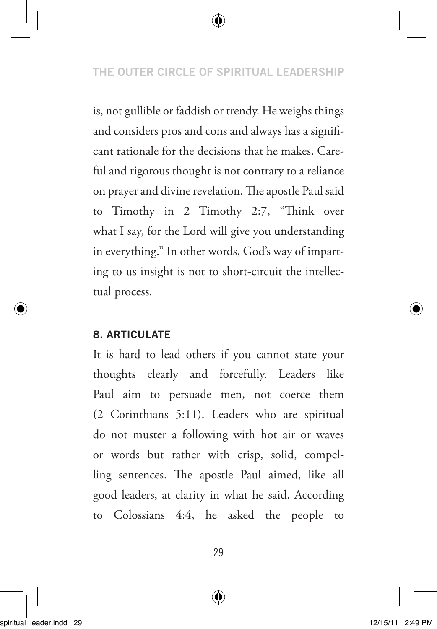is, not gullible or faddish or trendy. He weighs things and considers pros and cons and always has a significant rationale for the decisions that he makes. Careful and rigorous thought is not contrary to a reliance on prayer and divine revelation. The apostle Paul said to Timothy in 2 Timothy 2:7, "Think over what I say, for the Lord will give you understanding in everything." In other words, God's way of imparting to us insight is not to short-circuit the intellectual process.

#### 8. ARTICULATE

It is hard to lead others if you cannot state your thoughts clearly and forcefully. Leaders like Paul aim to persuade men, not coerce them (2 Corinthians 5:11). Leaders who are spiritual do not muster a following with hot air or waves or words but rather with crisp, solid, compelling sentences. The apostle Paul aimed, like all good leaders, at clarity in what he said. According to Colossians 4:4, he asked the people to

29

⊕

spiritual\_leader.indd 29 12/15/11 2:49 PM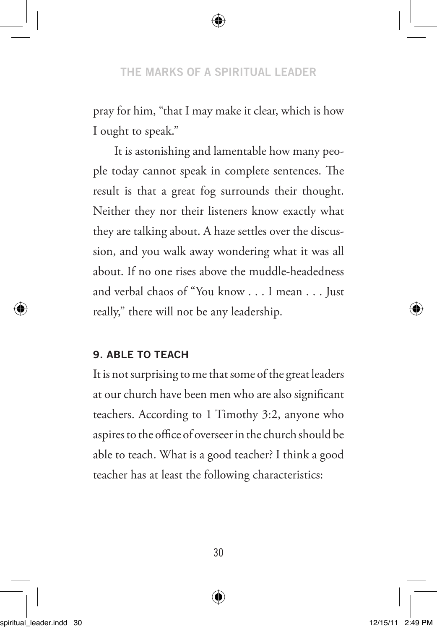pray for him, "that I may make it clear, which is how I ought to speak."

It is astonishing and lamentable how many people today cannot speak in complete sentences. The result is that a great fog surrounds their thought. Neither they nor their listeners know exactly what they are talking about. A haze settles over the discussion, and you walk away wondering what it was all about. If no one rises above the muddle-headedness and verbal chaos of "You know . . . I mean . . . Just really," there will not be any leadership.

#### 9. ABLE TO TEACH

It is not surprising to me that some of the great leaders at our church have been men who are also significant teachers. According to 1 Timothy 3:2, anyone who aspires to the office of overseer in the church should be able to teach. What is a good teacher? I think a good teacher has at least the following characteristics: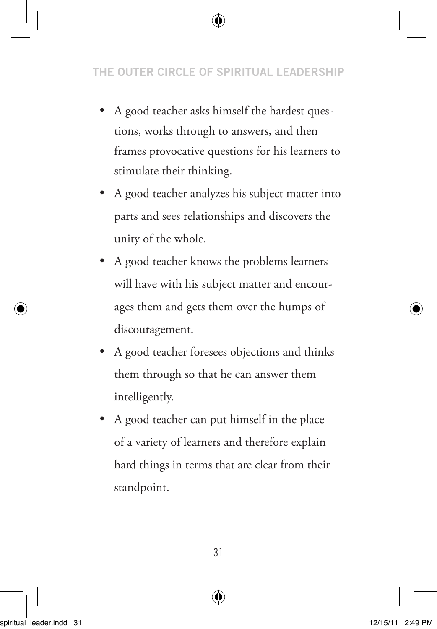- • A good teacher asks himself the hardest questions, works through to answers, and then frames provocative questions for his learners to stimulate their thinking.
- • A good teacher analyzes his subject matter into parts and sees relationships and discovers the unity of the whole.
- • A good teacher knows the problems learners will have with his subject matter and encourages them and gets them over the humps of discouragement.
- • A good teacher foresees objections and thinks them through so that he can answer them intelligently.
- A good teacher can put himself in the place of a variety of learners and therefore explain hard things in terms that are clear from their standpoint.

31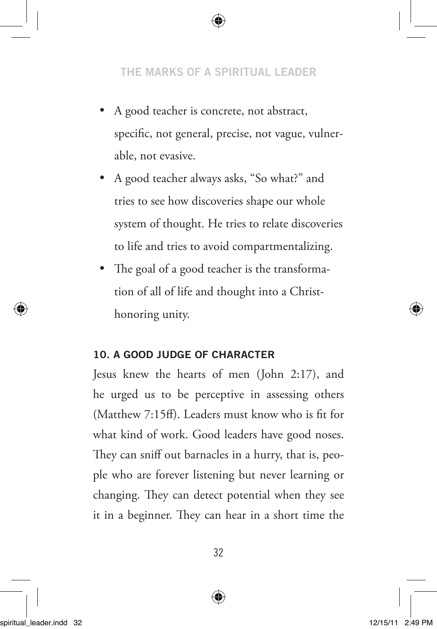- A good teacher is concrete, not abstract, specific, not general, precise, not vague, vulnerable, not evasive.
- A good teacher always asks, "So what?" and tries to see how discoveries shape our whole system of thought. He tries to relate discoveries to life and tries to avoid compartmentalizing.
- The goal of a good teacher is the transformation of all of life and thought into a Christhonoring unity.

#### 10. A GOOD JUDGE OF CHARACTER

Jesus knew the hearts of men (John 2:17), and he urged us to be perceptive in assessing others (Matthew 7:15ff). Leaders must know who is fit for what kind of work. Good leaders have good noses. They can sniff out barnacles in a hurry, that is, people who are forever listening but never learning or changing. They can detect potential when they see it in a beginner. They can hear in a short time the

⊕

spiritual\_leader.indd 32 12/15/11 2:49 PM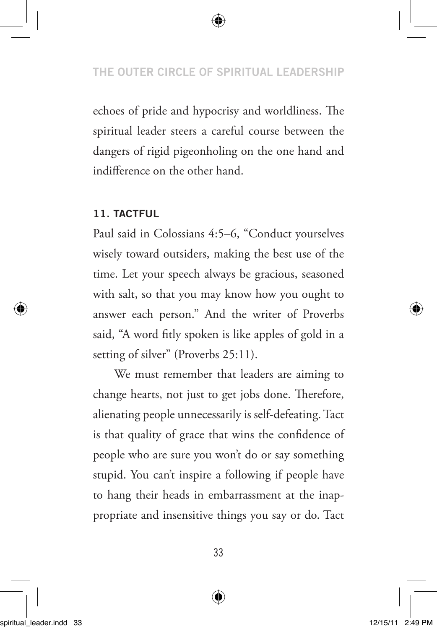echoes of pride and hypocrisy and worldliness. The spiritual leader steers a careful course between the dangers of rigid pigeonholing on the one hand and indifference on the other hand.

#### 11. TACTFUL

Paul said in Colossians 4:5–6, "Conduct yourselves wisely toward outsiders, making the best use of the time. Let your speech always be gracious, seasoned with salt, so that you may know how you ought to answer each person." And the writer of Proverbs said, "A word fitly spoken is like apples of gold in a setting of silver" (Proverbs 25:11).

We must remember that leaders are aiming to change hearts, not just to get jobs done. Therefore, alienating people unnecessarily is self-defeating. Tact is that quality of grace that wins the confidence of people who are sure you won't do or say something stupid. You can't inspire a following if people have to hang their heads in embarrassment at the inappropriate and insensitive things you say or do. Tact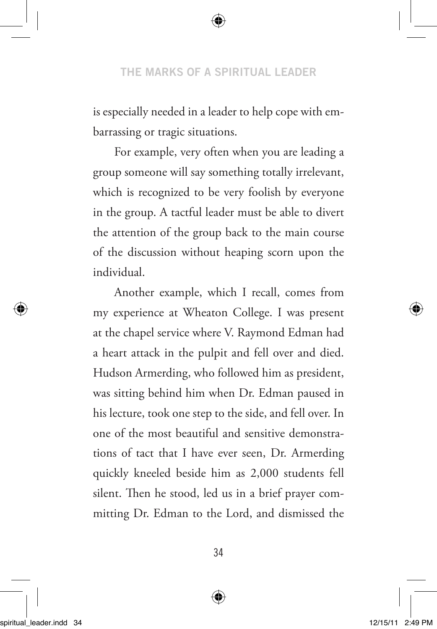is especially needed in a leader to help cope with embarrassing or tragic situations.

For example, very often when you are leading a group someone will say something totally irrelevant, which is recognized to be very foolish by everyone in the group. A tactful leader must be able to divert the attention of the group back to the main course of the discussion without heaping scorn upon the individual.

Another example, which I recall, comes from my experience at Wheaton College. I was present at the chapel service where V. Raymond Edman had a heart attack in the pulpit and fell over and died. Hudson Armerding, who followed him as president, was sitting behind him when Dr. Edman paused in his lecture, took one step to the side, and fell over. In one of the most beautiful and sensitive demonstrations of tact that I have ever seen, Dr. Armerding quickly kneeled beside him as 2,000 students fell silent. Then he stood, led us in a brief prayer committing Dr. Edman to the Lord, and dismissed the

34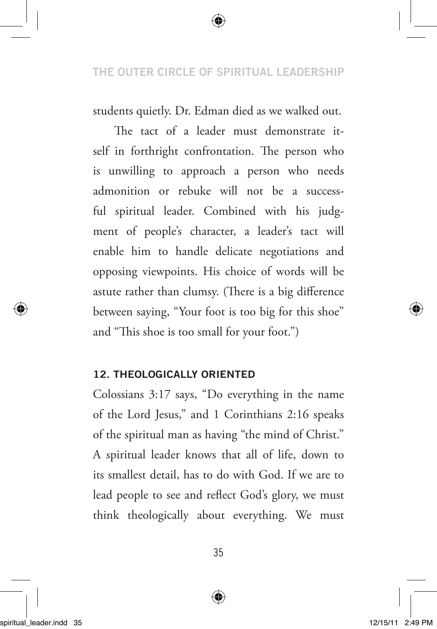students quietly. Dr. Edman died as we walked out.

The tact of a leader must demonstrate itself in forthright confrontation. The person who is unwilling to approach a person who needs admonition or rebuke will not be a successful spiritual leader. Combined with his judgment of people's character, a leader's tact will enable him to handle delicate negotiations and opposing viewpoints. His choice of words will be astute rather than clumsy. (There is a big difference between saying, "Your foot is too big for this shoe" and "This shoe is too small for your foot.")

#### 12. THEOLOGICALLY ORIENTED

Colossians 3:17 says, "Do everything in the name of the Lord Jesus," and 1 Corinthians 2:16 speaks of the spiritual man as having "the mind of Christ." A spiritual leader knows that all of life, down to its smallest detail, has to do with God. If we are to lead people to see and reflect God's glory, we must think theologically about everything. We must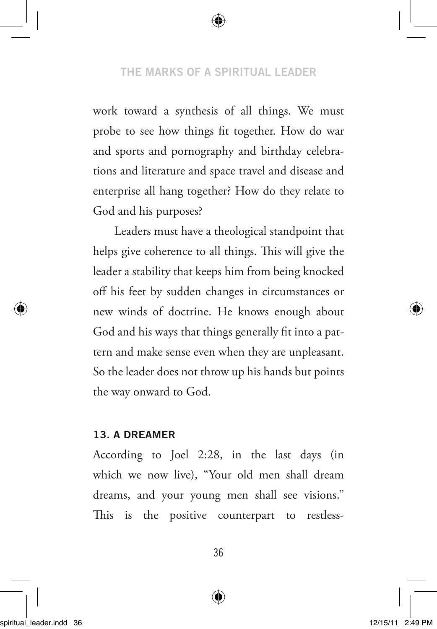work toward a synthesis of all things. We must probe to see how things fit together. How do war and sports and pornography and birthday celebrations and literature and space travel and disease and enterprise all hang together? How do they relate to God and his purposes?

Leaders must have a theological standpoint that helps give coherence to all things. This will give the leader a stability that keeps him from being knocked off his feet by sudden changes in circumstances or new winds of doctrine. He knows enough about God and his ways that things generally fit into a pattern and make sense even when they are unpleasant. So the leader does not throw up his hands but points the way onward to God.

#### 13. A DREAMER

According to Joel 2:28, in the last days (in which we now live), "Your old men shall dream dreams, and your young men shall see visions." This is the positive counterpart to restless-

36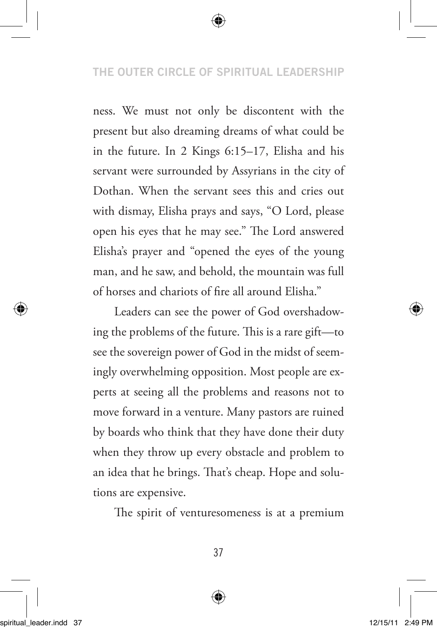ness. We must not only be discontent with the present but also dreaming dreams of what could be in the future. In 2 Kings 6:15–17, Elisha and his servant were surrounded by Assyrians in the city of Dothan. When the servant sees this and cries out with dismay, Elisha prays and says, "O Lord, please open his eyes that he may see." The Lord answered Elisha's prayer and "opened the eyes of the young man, and he saw, and behold, the mountain was full of horses and chariots of fire all around Elisha."

Leaders can see the power of God overshadowing the problems of the future. This is a rare gift—to see the sovereign power of God in the midst of seemingly overwhelming opposition. Most people are experts at seeing all the problems and reasons not to move forward in a venture. Many pastors are ruined by boards who think that they have done their duty when they throw up every obstacle and problem to an idea that he brings. That's cheap. Hope and solutions are expensive.

The spirit of venturesomeness is at a premium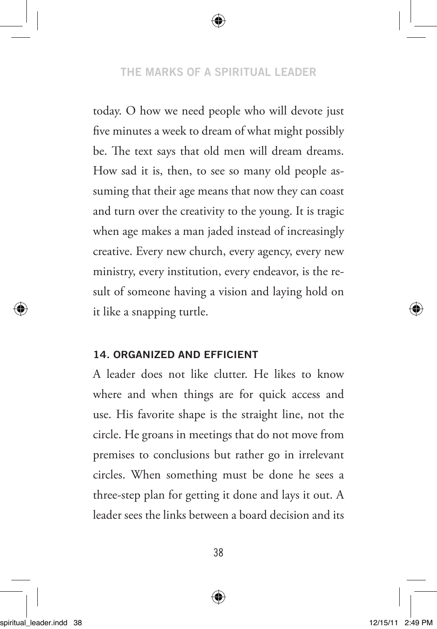today. O how we need people who will devote just five minutes a week to dream of what might possibly be. The text says that old men will dream dreams. How sad it is, then, to see so many old people assuming that their age means that now they can coast and turn over the creativity to the young. It is tragic when age makes a man jaded instead of increasingly creative. Every new church, every agency, every new ministry, every institution, every endeavor, is the result of someone having a vision and laying hold on it like a snapping turtle.

#### 14. ORGANIZED AND EFFICIENT

A leader does not like clutter. He likes to know where and when things are for quick access and use. His favorite shape is the straight line, not the circle. He groans in meetings that do not move from premises to conclusions but rather go in irrelevant circles. When something must be done he sees a three-step plan for getting it done and lays it out. A leader sees the links between a board decision and its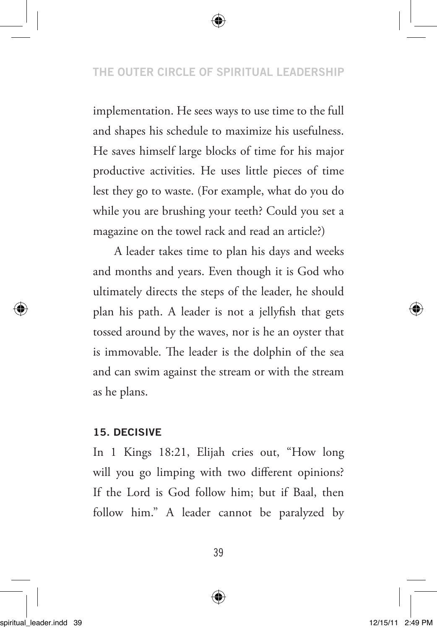implementation. He sees ways to use time to the full and shapes his schedule to maximize his usefulness. He saves himself large blocks of time for his major productive activities. He uses little pieces of time lest they go to waste. (For example, what do you do while you are brushing your teeth? Could you set a magazine on the towel rack and read an article?)

A leader takes time to plan his days and weeks and months and years. Even though it is God who ultimately directs the steps of the leader, he should plan his path. A leader is not a jellyfish that gets tossed around by the waves, nor is he an oyster that is immovable. The leader is the dolphin of the sea and can swim against the stream or with the stream as he plans.

#### 15. DECISIVE

In 1 Kings 18:21, Elijah cries out, "How long will you go limping with two different opinions? If the Lord is God follow him; but if Baal, then follow him." A leader cannot be paralyzed by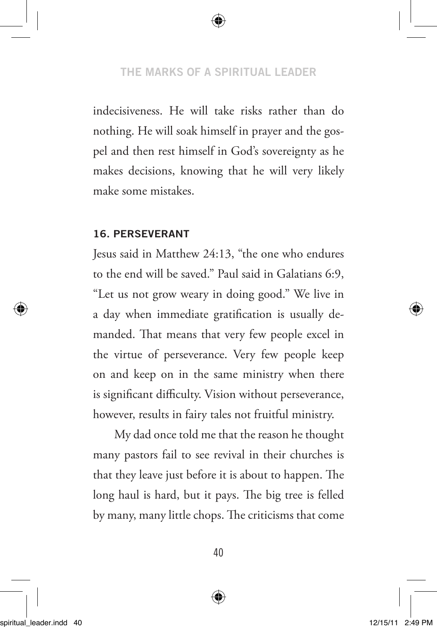indecisiveness. He will take risks rather than do nothing. He will soak himself in prayer and the gospel and then rest himself in God's sovereignty as he makes decisions, knowing that he will very likely make some mistakes.

#### 16. PERSEVERANT

Jesus said in Matthew 24:13, "the one who endures to the end will be saved." Paul said in Galatians 6:9, "Let us not grow weary in doing good." We live in a day when immediate gratification is usually demanded. That means that very few people excel in the virtue of perseverance. Very few people keep on and keep on in the same ministry when there is significant difficulty. Vision without perseverance, however, results in fairy tales not fruitful ministry.

My dad once told me that the reason he thought many pastors fail to see revival in their churches is that they leave just before it is about to happen. The long haul is hard, but it pays. The big tree is felled by many, many little chops. The criticisms that come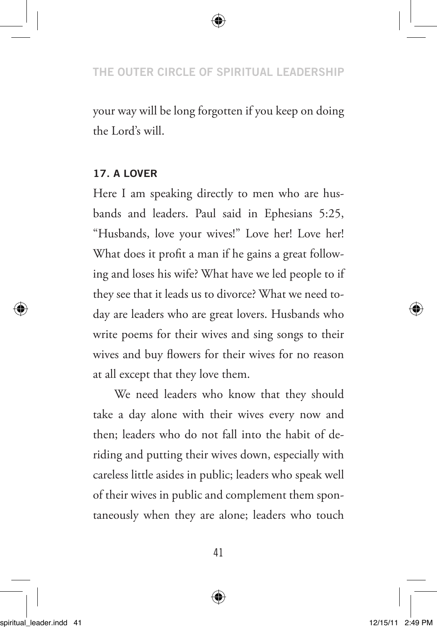your way will be long forgotten if you keep on doing the Lord's will.

#### 17. A LOVER

Here I am speaking directly to men who are husbands and leaders. Paul said in Ephesians 5:25, "Husbands, love your wives!" Love her! Love her! What does it profit a man if he gains a great following and loses his wife? What have we led people to if they see that it leads us to divorce? What we need today are leaders who are great lovers. Husbands who write poems for their wives and sing songs to their wives and buy flowers for their wives for no reason at all except that they love them.

We need leaders who know that they should take a day alone with their wives every now and then; leaders who do not fall into the habit of deriding and putting their wives down, especially with careless little asides in public; leaders who speak well of their wives in public and complement them spontaneously when they are alone; leaders who touch

41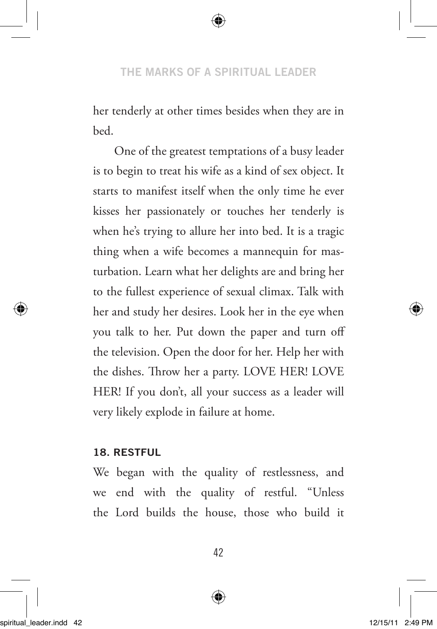her tenderly at other times besides when they are in bed.

One of the greatest temptations of a busy leader is to begin to treat his wife as a kind of sex object. It starts to manifest itself when the only time he ever kisses her passionately or touches her tenderly is when he's trying to allure her into bed. It is a tragic thing when a wife becomes a mannequin for masturbation. Learn what her delights are and bring her to the fullest experience of sexual climax. Talk with her and study her desires. Look her in the eye when you talk to her. Put down the paper and turn off the television. Open the door for her. Help her with the dishes. Throw her a party. LOVE HER! LOVE HER! If you don't, all your success as a leader will very likely explode in failure at home.

#### 18. RESTFUL

We began with the quality of restlessness, and we end with the quality of restful. "Unless the Lord builds the house, those who build it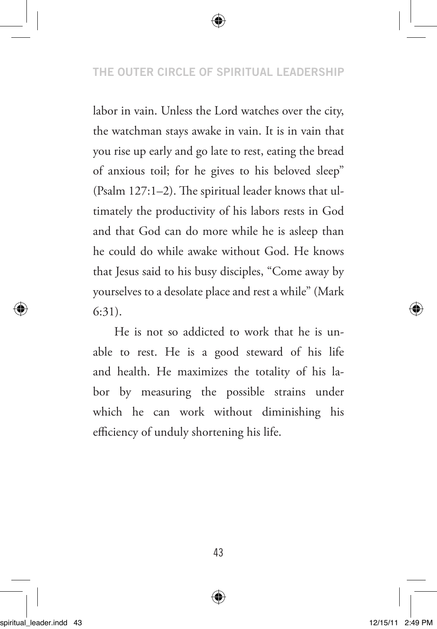labor in vain. Unless the Lord watches over the city, the watchman stays awake in vain. It is in vain that you rise up early and go late to rest, eating the bread of anxious toil; for he gives to his beloved sleep" (Psalm 127:1–2). The spiritual leader knows that ultimately the productivity of his labors rests in God and that God can do more while he is asleep than he could do while awake without God. He knows that Jesus said to his busy disciples, "Come away by yourselves to a desolate place and rest a while" (Mark 6:31).

He is not so addicted to work that he is unable to rest. He is a good steward of his life and health. He maximizes the totality of his labor by measuring the possible strains under which he can work without diminishing his efficiency of unduly shortening his life.

43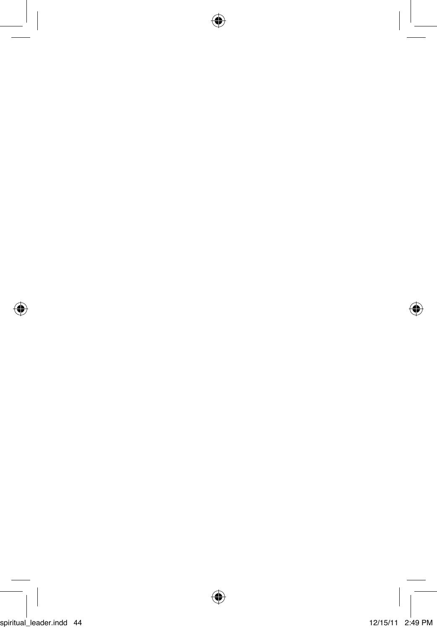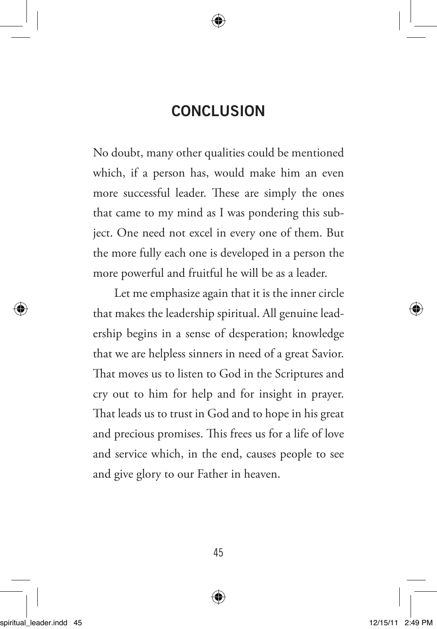### **CONCLUSION**

No doubt, many other qualities could be mentioned which, if a person has, would make him an even more successful leader. These are simply the ones that came to my mind as I was pondering this subject. One need not excel in every one of them. But the more fully each one is developed in a person the more powerful and fruitful he will be as a leader.

Let me emphasize again that it is the inner circle that makes the leadership spiritual. All genuine leadership begins in a sense of desperation; knowledge that we are helpless sinners in need of a great Savior. That moves us to listen to God in the Scriptures and cry out to him for help and for insight in prayer. That leads us to trust in God and to hope in his great and precious promises. This frees us for a life of love and service which, in the end, causes people to see and give glory to our Father in heaven.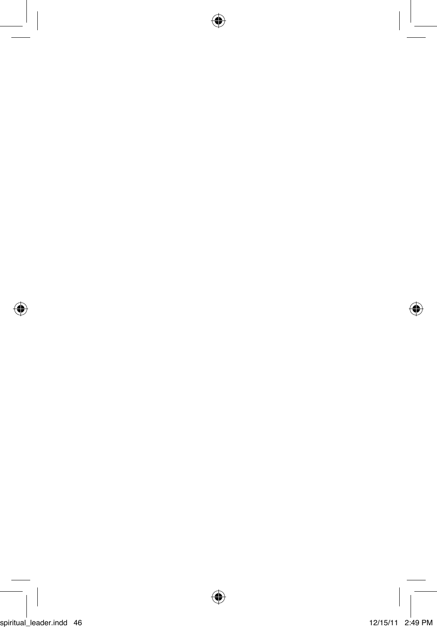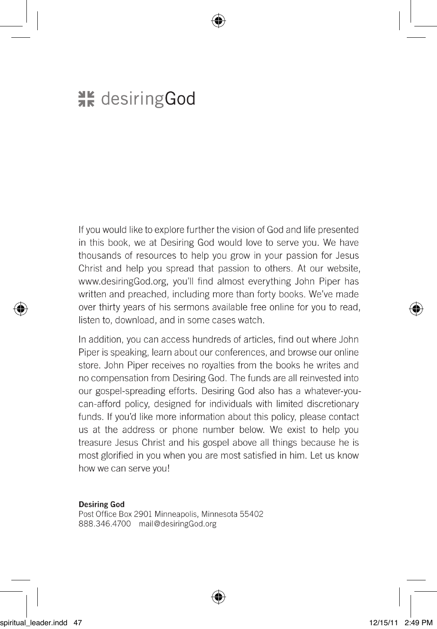## **NE** desiring God

If you would like to explore further the vision of God and life presented in this book, we at Desiring God would love to serve you. We have thousands of resources to help you grow in your passion for Jesus Christ and help you spread that passion to others. At our website, www.desiringGod.org, you'll find almost everything John Piper has written and preached, including more than forty books. We've made over thirty years of his sermons available free online for you to read. listen to, download, and in some cases watch.

In addition, you can access hundreds of articles, find out where John Piper is speaking, learn about our conferences, and browse our online store. John Piper receives no royalties from the books he writes and no compensation from Desiring God. The funds are all reinvested into our gospel-spreading efforts. Desiring God also has a whatever-youcan-afford policy, designed for individuals with limited discretionary funds. If you'd like more information about this policy, please contact us at the address or phone number below. We exist to help you treasure Jesus Christ and his gospel above all things because he is most glorified in you when you are most satisfied in him. Let us know how we can serve you!

#### **Desiring God**

Post Office Box 2901 Minneapolis, Minnesota 55402 888.346.4700 mail@desiringGod.org